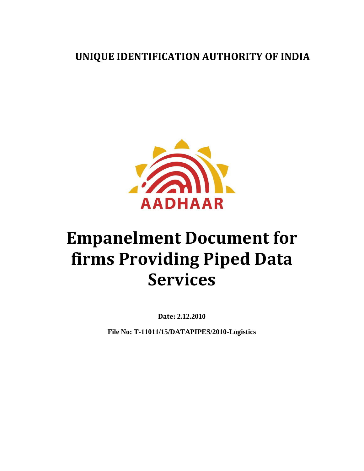**UNIQUE IDENTIFICATION AUTHORITY OF INDIA**



# <span id="page-0-0"></span>**Empanelment Document for firms Providing Piped Data Services**

**Date: 2.12.2010**

**File No: T-11011/15/DATAPIPES/2010-Logistics**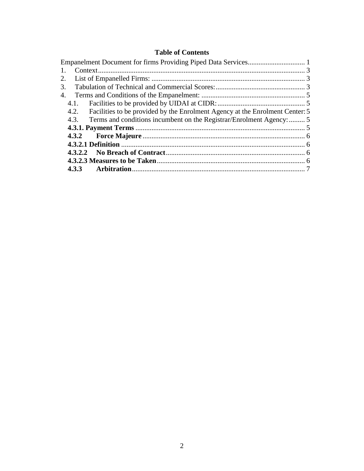#### **Table of Contents**

<span id="page-1-0"></span>

| 1. |                                                                                   |  |
|----|-----------------------------------------------------------------------------------|--|
|    |                                                                                   |  |
| 3. |                                                                                   |  |
|    |                                                                                   |  |
|    |                                                                                   |  |
|    | 4.2. Facilities to be provided by the Enrolment Agency at the Enrolment Center: 5 |  |
|    | 4.3. Terms and conditions incumbent on the Registrar/Enrolment Agency:  5         |  |
|    |                                                                                   |  |
|    |                                                                                   |  |
|    |                                                                                   |  |
|    |                                                                                   |  |
|    |                                                                                   |  |
|    |                                                                                   |  |
|    |                                                                                   |  |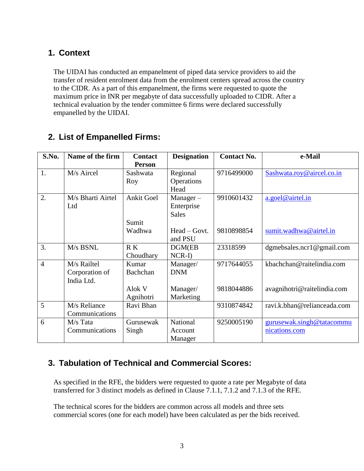### **1. Context**

The UIDAI has conducted an empanelment of piped data service providers to aid the transfer of resident enrolment data from the enrolment centers spread across the country to the CIDR. As a part of this empanelment, the firms were requested to quote the maximum price in INR per megabyte of data successfully uploaded to CIDR. After a technical evaluation by the tender committee 6 firms were declared successfully empanelled by the UIDAI.

| S.No.          | Name of the firm  | <b>Contact</b> | <b>Designation</b> | <b>Contact No.</b> | e-Mail                        |
|----------------|-------------------|----------------|--------------------|--------------------|-------------------------------|
|                |                   | <b>Person</b>  |                    |                    |                               |
| 1.             | M/s Aircel        | Sashwata       | Regional           | 9716499000         | Sashwata.roy@aircel.co.in     |
|                |                   | Roy            | Operations         |                    |                               |
|                |                   |                | Head               |                    |                               |
| 2.             | M/s Bharti Airtel | Ankit Goel     | $Manager -$        | 9910601432         | a.goel@airtel.in              |
|                | Ltd               |                | Enterprise         |                    |                               |
|                |                   |                | <b>Sales</b>       |                    |                               |
|                |                   | Sumit          |                    |                    |                               |
|                |                   | Wadhwa         | Head – Govt.       | 9810898854         | sumit.wadhwa@airtel.in        |
|                |                   |                | and PSU            |                    |                               |
| 3.             | M/s BSNL          | R K            | DGM(EB             | 23318599           | dgmebsales.ncr1 $@$ gmail.com |
|                |                   | Choudhary      | $NCR-I$            |                    |                               |
| $\overline{4}$ | M/s Railtel       | Kumar          | Manager/           | 9717644055         | kbachchan@raitelindia.com     |
|                | Corporation of    | Bachchan       | <b>DNM</b>         |                    |                               |
|                | India Ltd.        |                |                    |                    |                               |
|                |                   | Alok V         | Manager/           | 9818044886         | avagnihotri@raitelindia.com   |
|                |                   | Agnihotri      | Marketing          |                    |                               |
| 5              | M/s Reliance      | Ravi Bhan      |                    | 9310874842         | ravi.k.bhan@relianceada.com   |
|                | Communications    |                |                    |                    |                               |
| 6              | M/s Tata          | Gurusewak      | National           | 9250005190         | gurusewak.singh@tatacommu     |
|                | Communications    | Singh          | Account            |                    | nications.com                 |
|                |                   |                | Manager            |                    |                               |

## <span id="page-2-0"></span>**2. List of Empanelled Firms:**

## <span id="page-2-1"></span>**3. Tabulation of Technical and Commercial Scores:**

As specified in the RFE, the bidders were requested to quote a rate per Megabyte of data transferred for 3 distinct models as defined in Clause 7.1.1, 7.1.2 and 7.1.3 of the RFE.

The technical scores for the bidders are common across all models and three sets commercial scores (one for each model) have been calculated as per the bids received.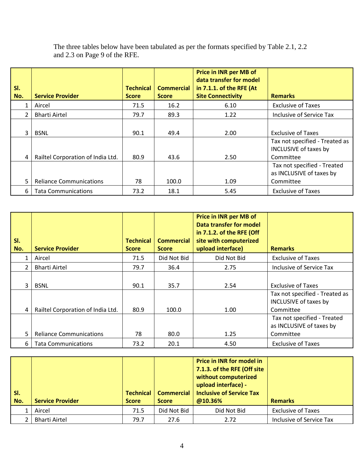| SI.<br>No. | <b>Service Provider</b>                          | <b>Technical</b><br><b>Score</b> | <b>Commercial</b><br><b>Score</b> | <b>Price in INR per MB of</b><br>data transfer for model<br>in 7.1.1. of the RFE (At<br><b>Site Connectivity</b> | <b>Remarks</b>                                                                                    |
|------------|--------------------------------------------------|----------------------------------|-----------------------------------|------------------------------------------------------------------------------------------------------------------|---------------------------------------------------------------------------------------------------|
|            | Aircel                                           | 71.5                             | 16.2                              | 6.10                                                                                                             | <b>Exclusive of Taxes</b>                                                                         |
| 2          | <b>Bharti Airtel</b>                             | 79.7                             | 89.3                              | 1.22                                                                                                             | Inclusive of Service Tax                                                                          |
| ς<br>4     | <b>BSNL</b><br>Railtel Corporation of India Ltd. | 90.1<br>80.9                     | 49.4<br>43.6                      | 2.00<br>2.50                                                                                                     | <b>Exclusive of Taxes</b><br>Tax not specified - Treated as<br>INCLUSIVE of taxes by<br>Committee |
| 5          | <b>Reliance Communications</b>                   | 78                               | 100.0                             | 1.09                                                                                                             | Tax not specified - Treated<br>as INCLUSIVE of taxes by<br>Committee                              |
| 6          | <b>Tata Communications</b>                       | 73.2                             | 18.1                              | 5.45                                                                                                             | <b>Exclusive of Taxes</b>                                                                         |

The three tables below have been tabulated as per the formats specified by Table 2.1, 2.2 and 2.3 on Page 9 of the RFE.

| SI.<br>No.     | <b>Service Provider</b>           | <b>Technical</b><br><b>Score</b> | <b>Commercial</b><br><b>Score</b> | <b>Price in INR per MB of</b><br><b>Data transfer for model</b><br>in 7.1.2. of the RFE (Off<br>site with computerized<br>upload interface) | <b>Remarks</b>                                                       |
|----------------|-----------------------------------|----------------------------------|-----------------------------------|---------------------------------------------------------------------------------------------------------------------------------------------|----------------------------------------------------------------------|
| 1              | Aircel                            | 71.5                             | Did Not Bid                       | Did Not Bid                                                                                                                                 | <b>Exclusive of Taxes</b>                                            |
| $\overline{2}$ | <b>Bharti Airtel</b>              | 79.7                             | 36.4                              | 2.75                                                                                                                                        | Inclusive of Service Tax                                             |
| 3              | <b>BSNL</b>                       | 90.1                             | 35.7                              | 2.54                                                                                                                                        | <b>Exclusive of Taxes</b>                                            |
| 4              | Railtel Corporation of India Ltd. | 80.9                             | 100.0                             | 1.00                                                                                                                                        | Tax not specified - Treated as<br>INCLUSIVE of taxes by<br>Committee |
| 5              | <b>Reliance Communications</b>    | 78                               | 80.0                              | 1.25                                                                                                                                        | Tax not specified - Treated<br>as INCLUSIVE of taxes by<br>Committee |
| 6              | <b>Tata Communications</b>        | 73.2                             | 20.1                              | 4.50                                                                                                                                        | <b>Exclusive of Taxes</b>                                            |

| $\vert$ si.<br>  No. | <b>Service Provider</b> | Technical<br><b>Score</b> | Commercial<br><b>Score</b> | <b>Price in INR for model in</b><br>7.1.3. of the RFE (Off site<br>without computerized<br>upload interface) -<br><b>Inclusive of Service Tax</b><br>@10.36% | <b>Remarks</b>            |
|----------------------|-------------------------|---------------------------|----------------------------|--------------------------------------------------------------------------------------------------------------------------------------------------------------|---------------------------|
|                      | Aircel                  | 71.5                      | Did Not Bid                | Did Not Bid                                                                                                                                                  | <b>Exclusive of Taxes</b> |
|                      | <b>Bharti Airtel</b>    | 79.7                      | 27.6                       | 2.72                                                                                                                                                         | Inclusive of Service Tax  |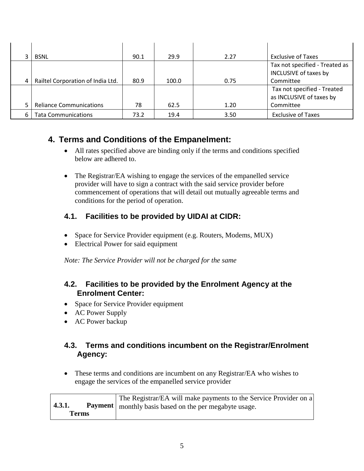|    | <b>BSNL</b>                       | 90.1 | 29.9  | 2.27 | <b>Exclusive of Taxes</b>      |
|----|-----------------------------------|------|-------|------|--------------------------------|
|    |                                   |      |       |      | Tax not specified - Treated as |
|    |                                   |      |       |      | INCLUSIVE of taxes by          |
|    | Railtel Corporation of India Ltd. | 80.9 | 100.0 | 0.75 | Committee                      |
|    |                                   |      |       |      | Tax not specified - Treated    |
|    |                                   |      |       |      | as INCLUSIVE of taxes by       |
|    | <b>Reliance Communications</b>    | 78   | 62.5  | 1.20 | Committee                      |
| 6. | <b>Tata Communications</b>        | 73.2 | 19.4  | 3.50 | <b>Exclusive of Taxes</b>      |

## <span id="page-4-0"></span>**4. Terms and Conditions of the Empanelment:**

- All rates specified above are binding only if the terms and conditions specified below are adhered to.
- The Registrar/EA wishing to engage the services of the empanelled service provider will have to sign a contract with the said service provider before commencement of operations that will detail out mutually agreeable terms and conditions for the period of operation.

#### <span id="page-4-1"></span>**4.1. Facilities to be provided by UIDAI at CIDR:**

- Space for Service Provider equipment (e.g. Routers, Modems, MUX)
- Electrical Power for said equipment

*Note: The Service Provider will not be charged for the same*

#### <span id="page-4-2"></span>**4.2. Facilities to be provided by the Enrolment Agency at the Enrolment Center:**

- Space for Service Provider equipment
- AC Power Supply
- AC Power backup

#### <span id="page-4-3"></span>**4.3. Terms and conditions incumbent on the Registrar/Enrolment Agency:**

• These terms and conditions are incumbent on any Registrar/EA who wishes to engage the services of the empanelled service provider

<span id="page-4-4"></span>

| 4.3.1.       | The Registrar/EA will make payments to the Service Provider on a<br><b>Payment</b>   monthly basis based on the per megabyte usage. |
|--------------|-------------------------------------------------------------------------------------------------------------------------------------|
| <b>Terms</b> |                                                                                                                                     |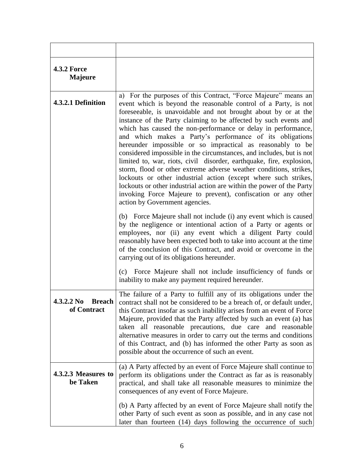<span id="page-5-3"></span><span id="page-5-2"></span><span id="page-5-1"></span><span id="page-5-0"></span>

| <b>4.3.2 Force</b><br><b>Majeure</b>                   |                                                                                                                                                                                                                                                                                                                                                                                                                                                                                                                                                                                                                                                                                                                                                                                                                                                                                                                                                                                                                                                                                                                                                                                                                                                                                                                                        |
|--------------------------------------------------------|----------------------------------------------------------------------------------------------------------------------------------------------------------------------------------------------------------------------------------------------------------------------------------------------------------------------------------------------------------------------------------------------------------------------------------------------------------------------------------------------------------------------------------------------------------------------------------------------------------------------------------------------------------------------------------------------------------------------------------------------------------------------------------------------------------------------------------------------------------------------------------------------------------------------------------------------------------------------------------------------------------------------------------------------------------------------------------------------------------------------------------------------------------------------------------------------------------------------------------------------------------------------------------------------------------------------------------------|
| 4.3.2.1 Definition                                     | a) For the purposes of this Contract, "Force Majeure" means an<br>event which is beyond the reasonable control of a Party, is not<br>foreseeable, is unavoidable and not brought about by or at the<br>instance of the Party claiming to be affected by such events and<br>which has caused the non-performance or delay in performance,<br>and which makes a Party's performance of its obligations<br>hereunder impossible or so impractical as reasonably to be<br>considered impossible in the circumstances, and includes, but is not<br>limited to, war, riots, civil disorder, earthquake, fire, explosion,<br>storm, flood or other extreme adverse weather conditions, strikes,<br>lockouts or other industrial action (except where such strikes,<br>lockouts or other industrial action are within the power of the Party<br>invoking Force Majeure to prevent), confiscation or any other<br>action by Government agencies.<br>(b) Force Majeure shall not include (i) any event which is caused<br>by the negligence or intentional action of a Party or agents or<br>employees, nor (ii) any event which a diligent Party could<br>reasonably have been expected both to take into account at the time<br>of the conclusion of this Contract, and avoid or overcome in the<br>carrying out of its obligations hereunder. |
|                                                        | Force Majeure shall not include insufficiency of funds or<br>(c)<br>inability to make any payment required hereunder.                                                                                                                                                                                                                                                                                                                                                                                                                                                                                                                                                                                                                                                                                                                                                                                                                                                                                                                                                                                                                                                                                                                                                                                                                  |
| 4.3.2.2 N <sub>0</sub><br><b>Breach</b><br>of Contract | The failure of a Party to fulfill any of its obligations under the<br>contract shall not be considered to be a breach of, or default under,<br>this Contract insofar as such inability arises from an event of Force<br>Majeure, provided that the Party affected by such an event (a) has<br>taken all reasonable precautions, due care and reasonable<br>alternative measures in order to carry out the terms and conditions<br>of this Contract, and (b) has informed the other Party as soon as<br>possible about the occurrence of such an event.                                                                                                                                                                                                                                                                                                                                                                                                                                                                                                                                                                                                                                                                                                                                                                                 |
| 4.3.2.3 Measures to<br>be Taken                        | (a) A Party affected by an event of Force Majeure shall continue to<br>perform its obligations under the Contract as far as is reasonably<br>practical, and shall take all reasonable measures to minimize the<br>consequences of any event of Force Majeure.                                                                                                                                                                                                                                                                                                                                                                                                                                                                                                                                                                                                                                                                                                                                                                                                                                                                                                                                                                                                                                                                          |
|                                                        | (b) A Party affected by an event of Force Majeure shall notify the<br>other Party of such event as soon as possible, and in any case not<br>later than fourteen (14) days following the occurrence of such                                                                                                                                                                                                                                                                                                                                                                                                                                                                                                                                                                                                                                                                                                                                                                                                                                                                                                                                                                                                                                                                                                                             |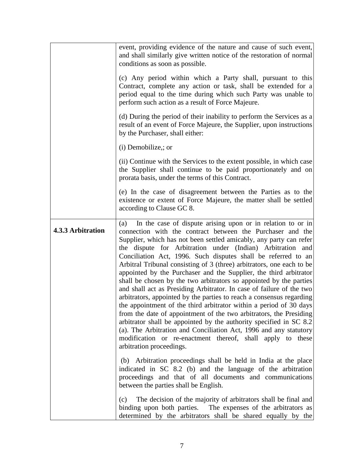<span id="page-6-0"></span>

|                   | event, providing evidence of the nature and cause of such event,<br>and shall similarly give written notice of the restoration of normal<br>conditions as soon as possible.<br>(c) Any period within which a Party shall, pursuant to this<br>Contract, complete any action or task, shall be extended for a<br>period equal to the time during which such Party was unable to<br>perform such action as a result of Force Majeure.<br>(d) During the period of their inability to perform the Services as a<br>result of an event of Force Majeure, the Supplier, upon instructions<br>by the Purchaser, shall either:<br>(i) Demobilize,; or                                                                                                                                                                                                                                                                                                                                                                                                                                                                                                                                                                                                                                                                                                                                                                                                                              |
|-------------------|-----------------------------------------------------------------------------------------------------------------------------------------------------------------------------------------------------------------------------------------------------------------------------------------------------------------------------------------------------------------------------------------------------------------------------------------------------------------------------------------------------------------------------------------------------------------------------------------------------------------------------------------------------------------------------------------------------------------------------------------------------------------------------------------------------------------------------------------------------------------------------------------------------------------------------------------------------------------------------------------------------------------------------------------------------------------------------------------------------------------------------------------------------------------------------------------------------------------------------------------------------------------------------------------------------------------------------------------------------------------------------------------------------------------------------------------------------------------------------|
|                   | (ii) Continue with the Services to the extent possible, in which case<br>the Supplier shall continue to be paid proportionately and on<br>prorata basis, under the terms of this Contract.                                                                                                                                                                                                                                                                                                                                                                                                                                                                                                                                                                                                                                                                                                                                                                                                                                                                                                                                                                                                                                                                                                                                                                                                                                                                                  |
|                   | (e) In the case of disagreement between the Parties as to the<br>existence or extent of Force Majeure, the matter shall be settled<br>according to Clause GC 8.                                                                                                                                                                                                                                                                                                                                                                                                                                                                                                                                                                                                                                                                                                                                                                                                                                                                                                                                                                                                                                                                                                                                                                                                                                                                                                             |
| 4.3.3 Arbitration | In the case of dispute arising upon or in relation to or in<br>(a)<br>connection with the contract between the Purchaser and the<br>Supplier, which has not been settled amicably, any party can refer<br>the dispute for Arbitration under (Indian) Arbitration and<br>Conciliation Act, 1996. Such disputes shall be referred to an<br>Arbitral Tribunal consisting of 3 (three) arbitrators, one each to be<br>appointed by the Purchaser and the Supplier, the third arbitrator<br>shall be chosen by the two arbitrators so appointed by the parties<br>and shall act as Presiding Arbitrator. In case of failure of the two<br>arbitrators, appointed by the parties to reach a consensus regarding<br>the appointment of the third arbitrator within a period of 30 days<br>from the date of appointment of the two arbitrators, the Presiding<br>arbitrator shall be appointed by the authority specified in SC 8.2<br>(a). The Arbitration and Conciliation Act, 1996 and any statutory<br>modification or re-enactment thereof, shall apply to these<br>arbitration proceedings.<br>(b) Arbitration proceedings shall be held in India at the place<br>indicated in SC 8.2 (b) and the language of the arbitration<br>proceedings and that of all documents and communications<br>between the parties shall be English.<br>The decision of the majority of arbitrators shall be final and<br>(c)<br>binding upon both parties. The expenses of the arbitrators as |